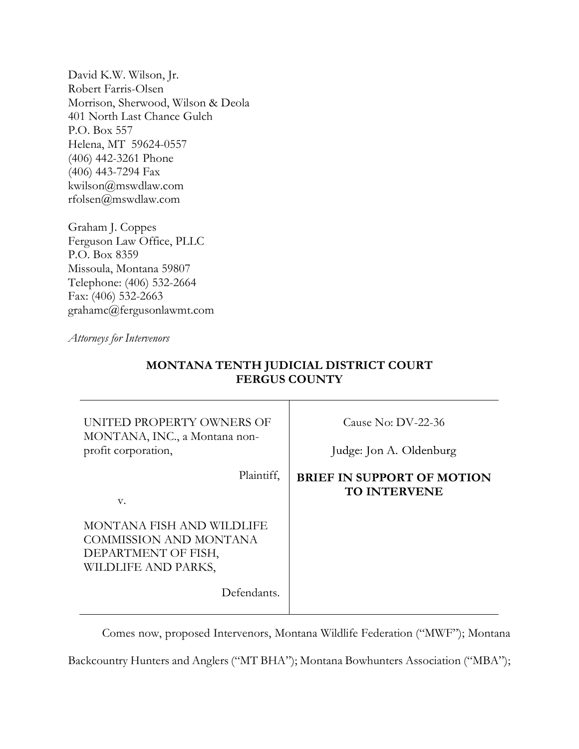David K.W. Wilson, Jr. Robert Farris-Olsen Morrison, Sherwood, Wilson & Deola 401 North Last Chance Gulch P.O. Box 557 Helena, MT 59624-0557 (406) 442-3261 Phone (406) 443-7294 Fax kwilson@mswdlaw.com rfolsen@mswdlaw.com

Graham J. Coppes Ferguson Law Office, PLLC P.O. Box 8359 Missoula, Montana 59807 Telephone: (406) 532-2664 Fax: (406) 532-2663 grahamc@fergusonlawmt.com

*Attorneys for Intervenors*

| UNITED PROPERTY OWNERS OF<br>MONTANA, INC., a Montana non-<br>profit corporation,                 | Cause No: $DV-22-36$<br>Judge: Jon A. Oldenburg          |
|---------------------------------------------------------------------------------------------------|----------------------------------------------------------|
| Plaintiff,<br>V.                                                                                  | <b>BRIEF IN SUPPORT OF MOTION</b><br><b>TO INTERVENE</b> |
| MONTANA FISH AND WILDLIFE<br>COMMISSION AND MONTANA<br>DEPARTMENT OF FISH,<br>WILDLIFE AND PARKS, |                                                          |
| Defendants.                                                                                       |                                                          |

# **MONTANA TENTH JUDICIAL DISTRICT COURT FERGUS COUNTY**

Comes now, proposed Intervenors, Montana Wildlife Federation ("MWF"); Montana

Backcountry Hunters and Anglers ("MT BHA"); Montana Bowhunters Association ("MBA");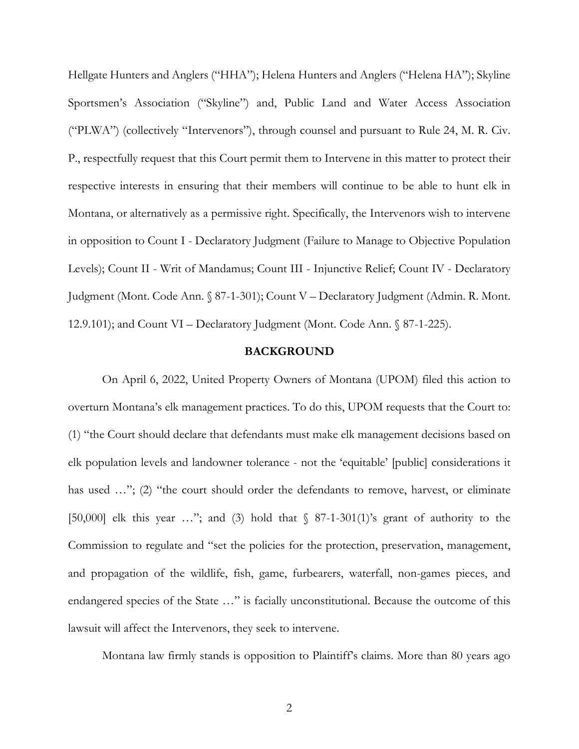Hellgate Hunters and Anglers ("HHA"); Helena Hunters and Anglers ("Helena HA"); Skyline Sportsmen's Association ("Skyline") and, Public Land and Water Access Association ("PLWA") (collectively "Intervenors"), through counsel and pursuant to Rule 24, M. R. Civ. P., respectfully request that this Court permit them to Intervene in this matter to protect their respective interests in ensuring that their members will continue to be able to hunt elk in Montana, or alternatively as a permissive right. Specifically, the Intervenors wish to intervene in opposition to Count I - Declaratory Judgment (Failure to Manage to Objective Population Levels); Count II - Writ of Mandamus; Count III - Injunctive Relief; Count IV - Declaratory Judgment (Mont. Code Ann. § 87-1-301); Count V – Declaratory Judgment (Admin. R. Mont. 12.9.101); and Count VI – Declaratory Judgment (Mont. Code Ann. § 87-1-225).

### **BACKGROUND**

On April 6, 2022, United Property Owners of Montana (UPOM) filed this action to overturn Montana's elk management practices. To do this, UPOM requests that the Court to: (1) "the Court should declare that defendants must make elk management decisions based on elk population levels and landowner tolerance - not the 'equitable' [public] considerations it has used ..."; (2) "the court should order the defendants to remove, harvest, or eliminate [50,000] elk this year ..."; and (3) hold that  $\frac{87-1-301(1)}{s}$  grant of authority to the Commission to regulate and "set the policies for the protection, preservation, management, and propagation of the wildlife, fish, game, furbearers, waterfall, non-games pieces, and endangered species of the State …" is facially unconstitutional. Because the outcome of this lawsuit will affect the Intervenors, they seek to intervene.

Montana law firmly stands is opposition to Plaintiff's claims. More than 80 years ago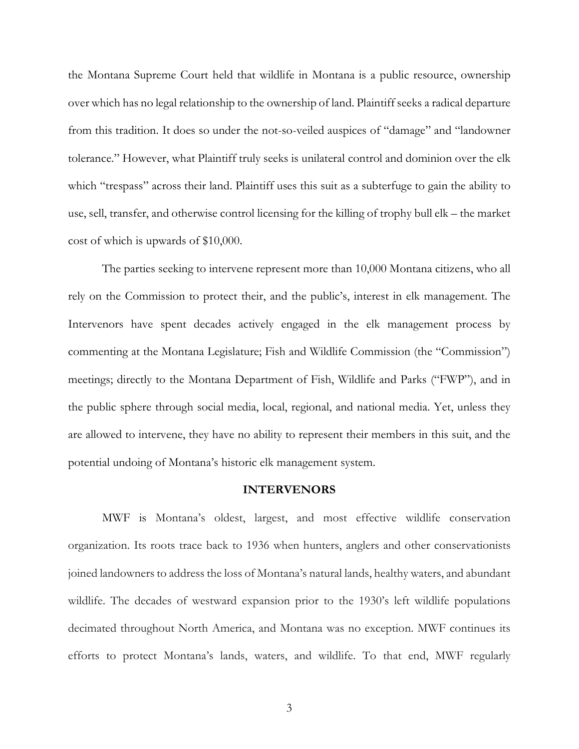the Montana Supreme Court held that wildlife in Montana is a public resource, ownership over which has no legal relationship to the ownership of land. Plaintiffseeks a radical departure from this tradition. It does so under the not-so-veiled auspices of "damage" and "landowner tolerance." However, what Plaintiff truly seeks is unilateral control and dominion over the elk which "trespass" across their land. Plaintiff uses this suit as a subterfuge to gain the ability to use, sell, transfer, and otherwise control licensing for the killing of trophy bull elk – the market cost of which is upwards of \$10,000.

The parties seeking to intervene represent more than 10,000 Montana citizens, who all rely on the Commission to protect their, and the public's, interest in elk management. The Intervenors have spent decades actively engaged in the elk management process by commenting at the Montana Legislature; Fish and Wildlife Commission (the "Commission") meetings; directly to the Montana Department of Fish, Wildlife and Parks ("FWP"), and in the public sphere through social media, local, regional, and national media. Yet, unless they are allowed to intervene, they have no ability to represent their members in this suit, and the potential undoing of Montana's historic elk management system.

#### **INTERVENORS**

MWF is Montana's oldest, largest, and most effective wildlife conservation organization. Its roots trace back to 1936 when hunters, anglers and other conservationists joined landowners to address the loss of Montana's natural lands, healthy waters, and abundant wildlife. The decades of westward expansion prior to the 1930's left wildlife populations decimated throughout North America, and Montana was no exception. MWF continues its efforts to protect Montana's lands, waters, and wildlife. To that end, MWF regularly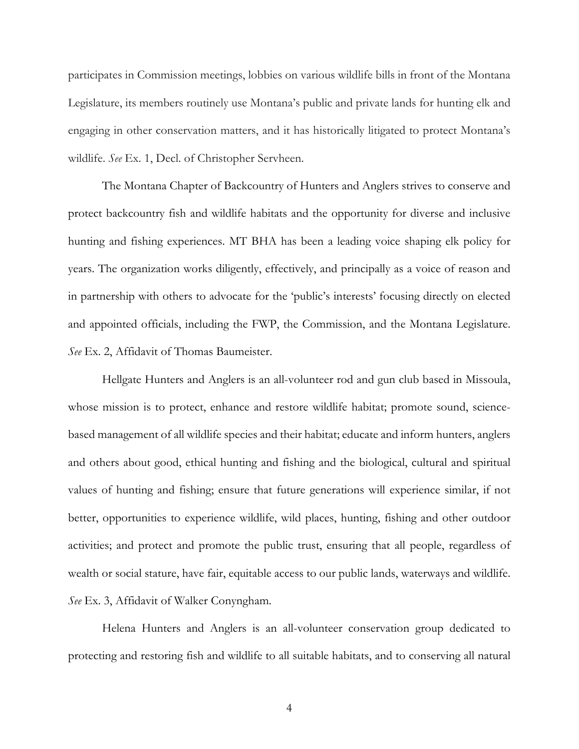participates in Commission meetings, lobbies on various wildlife bills in front of the Montana Legislature, its members routinely use Montana's public and private lands for hunting elk and engaging in other conservation matters, and it has historically litigated to protect Montana's wildlife. *See* Ex. 1, Decl. of Christopher Servheen.

The Montana Chapter of Backcountry of Hunters and Anglers strives to conserve and protect backcountry fish and wildlife habitats and the opportunity for diverse and inclusive hunting and fishing experiences. MT BHA has been a leading voice shaping elk policy for years. The organization works diligently, effectively, and principally as a voice of reason and in partnership with others to advocate for the 'public's interests' focusing directly on elected and appointed officials, including the FWP, the Commission, and the Montana Legislature. *See* Ex. 2, Affidavit of Thomas Baumeister.

Hellgate Hunters and Anglers is an all-volunteer rod and gun club based in Missoula, whose mission is to protect, enhance and restore wildlife habitat; promote sound, sciencebased management of all wildlife species and their habitat; educate and inform hunters, anglers and others about good, ethical hunting and fishing and the biological, cultural and spiritual values of hunting and fishing; ensure that future generations will experience similar, if not better, opportunities to experience wildlife, wild places, hunting, fishing and other outdoor activities; and protect and promote the public trust, ensuring that all people, regardless of wealth or social stature, have fair, equitable access to our public lands, waterways and wildlife. *See* Ex. 3, Affidavit of Walker Conyngham.

Helena Hunters and Anglers is an all-volunteer conservation group dedicated to protecting and restoring fish and wildlife to all suitable habitats, and to conserving all natural

4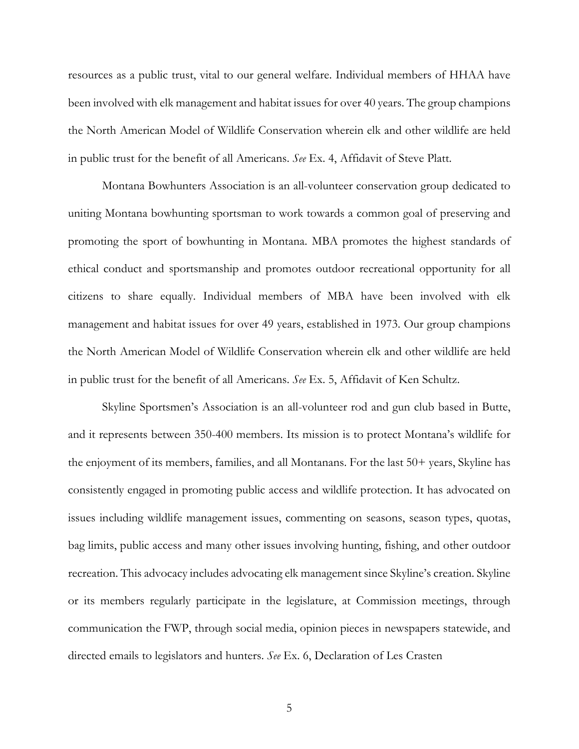resources as a public trust, vital to our general welfare. Individual members of HHAA have been involved with elk management and habitat issues for over 40 years. The group champions the North American Model of Wildlife Conservation wherein elk and other wildlife are held in public trust for the benefit of all Americans. *See* Ex. 4, Affidavit of Steve Platt.

Montana Bowhunters Association is an all-volunteer conservation group dedicated to uniting Montana bowhunting sportsman to work towards a common goal of preserving and promoting the sport of bowhunting in Montana. MBA promotes the highest standards of ethical conduct and sportsmanship and promotes outdoor recreational opportunity for all citizens to share equally. Individual members of MBA have been involved with elk management and habitat issues for over 49 years, established in 1973. Our group champions the North American Model of Wildlife Conservation wherein elk and other wildlife are held in public trust for the benefit of all Americans. *See* Ex. 5, Affidavit of Ken Schultz.

Skyline Sportsmen's Association is an all-volunteer rod and gun club based in Butte, and it represents between 350-400 members. Its mission is to protect Montana's wildlife for the enjoyment of its members, families, and all Montanans. For the last 50+ years, Skyline has consistently engaged in promoting public access and wildlife protection. It has advocated on issues including wildlife management issues, commenting on seasons, season types, quotas, bag limits, public access and many other issues involving hunting, fishing, and other outdoor recreation. This advocacy includes advocating elk management since Skyline's creation. Skyline or its members regularly participate in the legislature, at Commission meetings, through communication the FWP, through social media, opinion pieces in newspapers statewide, and directed emails to legislators and hunters. *See* Ex. 6, Declaration of Les Crasten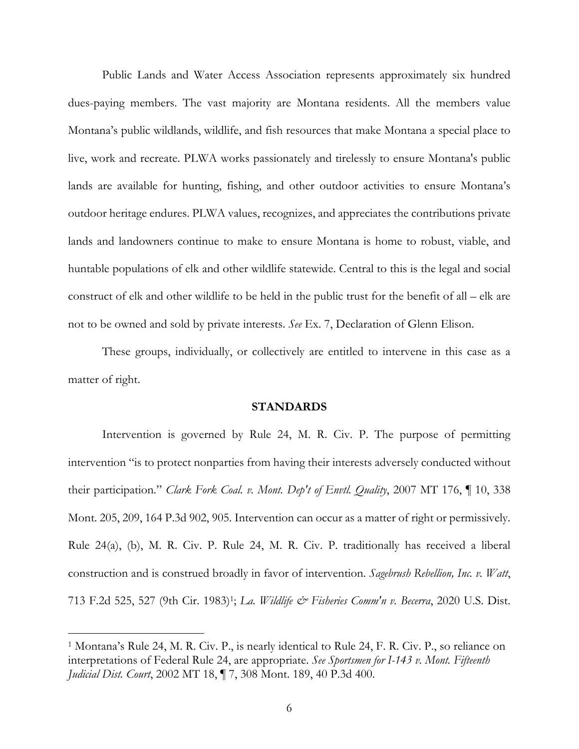Public Lands and Water Access Association represents approximately six hundred dues-paying members. The vast majority are Montana residents. All the members value Montana's public wildlands, wildlife, and fish resources that make Montana a special place to live, work and recreate. PLWA works passionately and tirelessly to ensure Montana's public lands are available for hunting, fishing, and other outdoor activities to ensure Montana's outdoor heritage endures. PLWA values, recognizes, and appreciates the contributions private lands and landowners continue to make to ensure Montana is home to robust, viable, and huntable populations of elk and other wildlife statewide. Central to this is the legal and social construct of elk and other wildlife to be held in the public trust for the benefit of all – elk are not to be owned and sold by private interests. *See* Ex. 7, Declaration of Glenn Elison.

These groups, individually, or collectively are entitled to intervene in this case as a matter of right.

#### **STANDARDS**

Intervention is governed by Rule 24, M. R. Civ. P. The purpose of permitting intervention "is to protect nonparties from having their interests adversely conducted without their participation." *Clark Fork Coal. v. Mont. Dep't of Envtl. Quality*, 2007 MT 176, ¶ 10, 338 Mont. 205, 209, 164 P.3d 902, 905. Intervention can occur as a matter of right or permissively. Rule 24(a), (b), M. R. Civ. P. Rule 24, M. R. Civ. P. traditionally has received a liberal construction and is construed broadly in favor of intervention. *Sagebrush Rebellion, Inc. v. Watt*, 713 F.2d 525, 527 (9th Cir. 1983)1; *La. Wildlife & Fisheries Comm'n v. Becerra*, 2020 U.S. Dist.

<sup>1</sup> Montana's Rule 24, M. R. Civ. P., is nearly identical to Rule 24, F. R. Civ. P., so reliance on interpretations of Federal Rule 24, are appropriate. *See Sportsmen for I-143 v. Mont. Fifteenth Judicial Dist. Court*, 2002 MT 18, ¶ 7, 308 Mont. 189, 40 P.3d 400.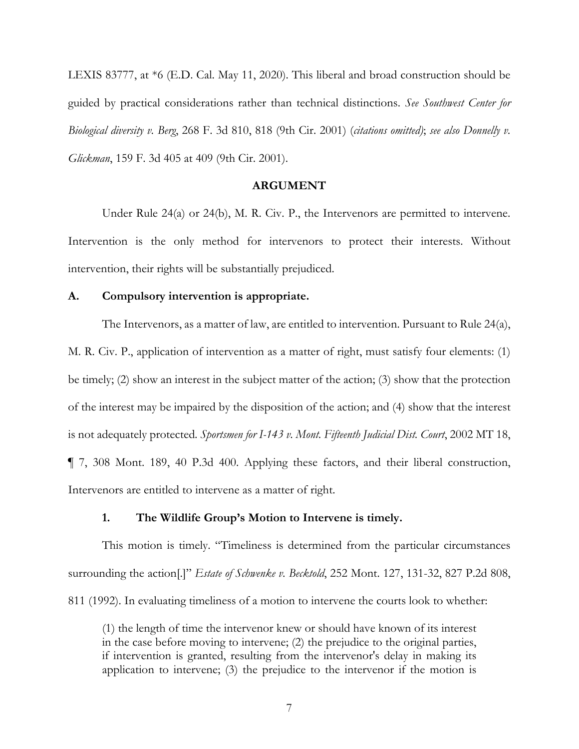LEXIS 83777, at \*6 (E.D. Cal. May 11, 2020). This liberal and broad construction should be guided by practical considerations rather than technical distinctions. *See Southwest Center for Biological diversity v. Berg*, 268 F. 3d 810, 818 (9th Cir. 2001) (*citations omitted)*; *see also Donnelly v. Glickman*, 159 F. 3d 405 at 409 (9th Cir. 2001).

### **ARGUMENT**

Under Rule 24(a) or 24(b), M. R. Civ. P., the Intervenors are permitted to intervene. Intervention is the only method for intervenors to protect their interests. Without intervention, their rights will be substantially prejudiced.

## **A. Compulsory intervention is appropriate.**

The Intervenors, as a matter of law, are entitled to intervention. Pursuant to Rule 24(a), M. R. Civ. P., application of intervention as a matter of right, must satisfy four elements: (1) be timely; (2) show an interest in the subject matter of the action; (3) show that the protection of the interest may be impaired by the disposition of the action; and (4) show that the interest is not adequately protected*. Sportsmen for I-143 v. Mont. Fifteenth Judicial Dist. Court*, 2002 MT 18, ¶ 7, 308 Mont. 189, 40 P.3d 400. Applying these factors, and their liberal construction, Intervenors are entitled to intervene as a matter of right.

### **1. The Wildlife Group's Motion to Intervene is timely.**

This motion is timely. "Timeliness is determined from the particular circumstances surrounding the action[.]" *Estate of Schwenke v. Becktold*, 252 Mont. 127, 131-32, 827 P.2d 808, 811 (1992). In evaluating timeliness of a motion to intervene the courts look to whether:

(1) the length of time the intervenor knew or should have known of its interest in the case before moving to intervene; (2) the prejudice to the original parties, if intervention is granted, resulting from the intervenor's delay in making its application to intervene; (3) the prejudice to the intervenor if the motion is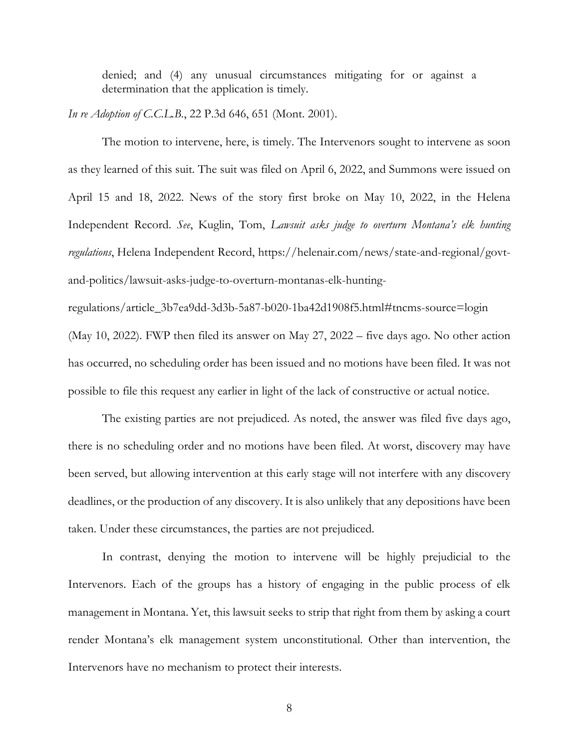denied; and (4) any unusual circumstances mitigating for or against a determination that the application is timely.

*In re Adoption of C.C.L.B.*, 22 P.3d 646, 651 (Mont. 2001).

The motion to intervene, here, is timely. The Intervenors sought to intervene as soon as they learned of this suit. The suit was filed on April 6, 2022, and Summons were issued on April 15 and 18, 2022. News of the story first broke on May 10, 2022, in the Helena Independent Record. *See*, Kuglin, Tom, *Lawsuit asks judge to overturn Montana's elk hunting regulations*, Helena Independent Record, https://helenair.com/news/state-and-regional/govtand-politics/lawsuit-asks-judge-to-overturn-montanas-elk-hunting-

regulations/article\_3b7ea9dd-3d3b-5a87-b020-1ba42d1908f5.html#tncms-source=login (May 10, 2022). FWP then filed its answer on May 27, 2022 – five days ago. No other action has occurred, no scheduling order has been issued and no motions have been filed. It was not possible to file this request any earlier in light of the lack of constructive or actual notice.

The existing parties are not prejudiced. As noted, the answer was filed five days ago, there is no scheduling order and no motions have been filed. At worst, discovery may have been served, but allowing intervention at this early stage will not interfere with any discovery deadlines, or the production of any discovery. It is also unlikely that any depositions have been taken. Under these circumstances, the parties are not prejudiced.

In contrast, denying the motion to intervene will be highly prejudicial to the Intervenors. Each of the groups has a history of engaging in the public process of elk management in Montana. Yet, this lawsuit seeks to strip that right from them by asking a court render Montana's elk management system unconstitutional. Other than intervention, the Intervenors have no mechanism to protect their interests.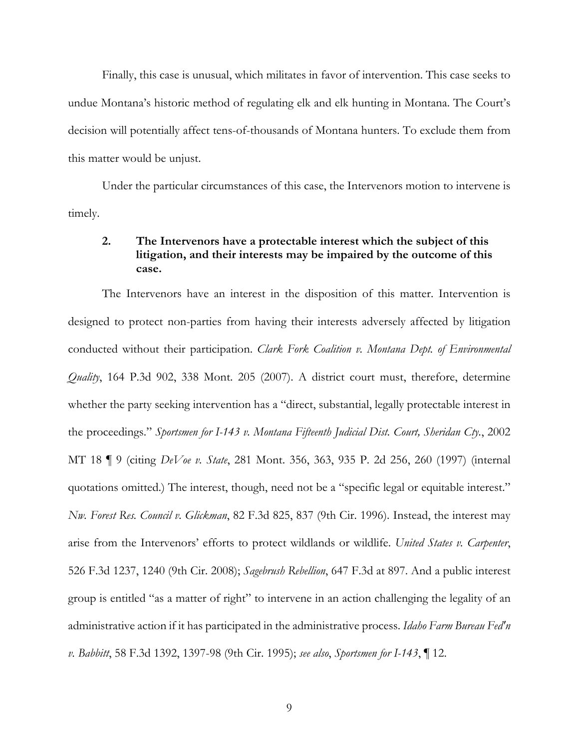Finally, this case is unusual, which militates in favor of intervention. This case seeks to undue Montana's historic method of regulating elk and elk hunting in Montana. The Court's decision will potentially affect tens-of-thousands of Montana hunters. To exclude them from this matter would be unjust.

Under the particular circumstances of this case, the Intervenors motion to intervene is timely.

# **2. The Intervenors have a protectable interest which the subject of this litigation, and their interests may be impaired by the outcome of this case.**

The Intervenors have an interest in the disposition of this matter. Intervention is designed to protect non-parties from having their interests adversely affected by litigation conducted without their participation. *Clark Fork Coalition v. Montana Dept. of Environmental Quality*, 164 P.3d 902, 338 Mont. 205 (2007). A district court must, therefore, determine whether the party seeking intervention has a "direct, substantial, legally protectable interest in the proceedings." *Sportsmen for I-143 v. Montana Fifteenth Judicial Dist. Court, Sheridan Cty.*, 2002 MT 18 ¶ 9 (citing *DeVoe v. State*, 281 Mont. 356, 363, 935 P. 2d 256, 260 (1997) (internal quotations omitted.) The interest, though, need not be a "specific legal or equitable interest." *Nw. Forest Res. Council v. Glickman*, 82 F.3d 825, 837 (9th Cir. 1996). Instead, the interest may arise from the Intervenors' efforts to protect wildlands or wildlife. *United States v. Carpenter*, 526 F.3d 1237, 1240 (9th Cir. 2008); *Sagebrush Rebellion*, 647 F.3d at 897. And a public interest group is entitled "as a matter of right" to intervene in an action challenging the legality of an administrative action if it has participated in the administrative process. *Idaho Farm Bureau Fed'n v. Babbitt*, 58 F.3d 1392, 1397-98 (9th Cir. 1995); *see also*, *Sportsmen for I-143*, ¶ 12.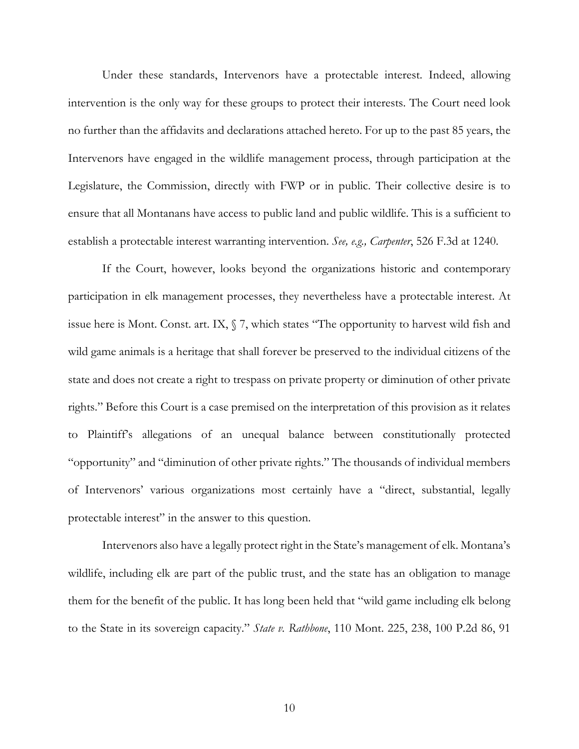Under these standards, Intervenors have a protectable interest. Indeed, allowing intervention is the only way for these groups to protect their interests. The Court need look no further than the affidavits and declarations attached hereto. For up to the past 85 years, the Intervenors have engaged in the wildlife management process, through participation at the Legislature, the Commission, directly with FWP or in public. Their collective desire is to ensure that all Montanans have access to public land and public wildlife. This is a sufficient to establish a protectable interest warranting intervention. *See, e.g., Carpenter*, 526 F.3d at 1240.

If the Court, however, looks beyond the organizations historic and contemporary participation in elk management processes, they nevertheless have a protectable interest. At issue here is Mont. Const. art. IX, § 7, which states "The opportunity to harvest wild fish and wild game animals is a heritage that shall forever be preserved to the individual citizens of the state and does not create a right to trespass on private property or diminution of other private rights." Before this Court is a case premised on the interpretation of this provision as it relates to Plaintiff's allegations of an unequal balance between constitutionally protected "opportunity" and "diminution of other private rights." The thousands of individual members of Intervenors' various organizations most certainly have a "direct, substantial, legally protectable interest" in the answer to this question.

Intervenors also have a legally protect right in the State's management of elk. Montana's wildlife, including elk are part of the public trust, and the state has an obligation to manage them for the benefit of the public. It has long been held that "wild game including elk belong to the State in its sovereign capacity." *State v. Rathbone*, 110 Mont. 225, 238, 100 P.2d 86, 91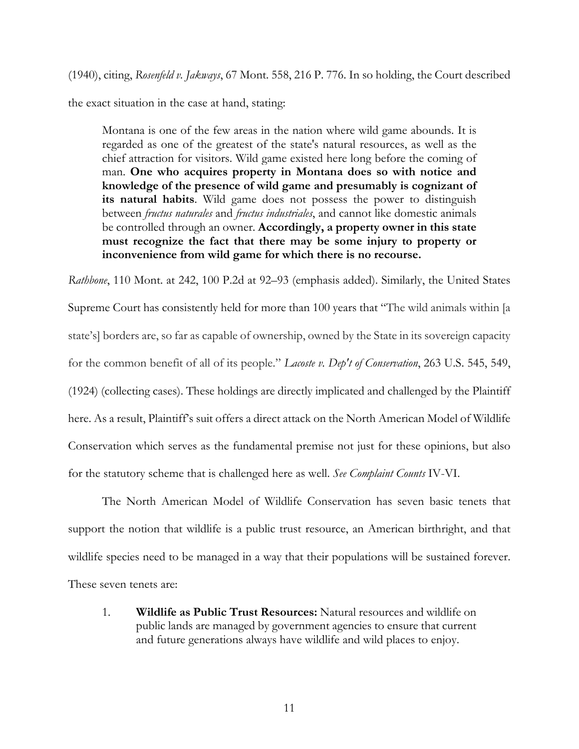(1940), citing, *Rosenfeld v. Jakways*, 67 Mont. 558, 216 P. 776. In so holding, the Court described

the exact situation in the case at hand, stating:

Montana is one of the few areas in the nation where wild game abounds. It is regarded as one of the greatest of the state's natural resources, as well as the chief attraction for visitors. Wild game existed here long before the coming of man. **One who acquires property in Montana does so with notice and knowledge of the presence of wild game and presumably is cognizant of its natural habits**. Wild game does not possess the power to distinguish between *fructus naturales* and *fructus industriales*, and cannot like domestic animals be controlled through an owner. **Accordingly, a property owner in this state must recognize the fact that there may be some injury to property or inconvenience from wild game for which there is no recourse.**

*Rathbone*, 110 Mont. at 242, 100 P.2d at 92–93 (emphasis added). Similarly, the United States Supreme Court has consistently held for more than 100 years that "The wild animals within [a state's] borders are, so far as capable of ownership, owned by the State in its sovereign capacity for the common benefit of all of its people." *Lacoste v. Dep't of Conservation*, 263 U.S. 545, 549, (1924) (collecting cases). These holdings are directly implicated and challenged by the Plaintiff here. As a result, Plaintiff's suit offers a direct attack on the North American Model of Wildlife Conservation which serves as the fundamental premise not just for these opinions, but also for the statutory scheme that is challenged here as well. *See Complaint Counts* IV-VI.

The North American Model of Wildlife Conservation has seven basic tenets that support the notion that wildlife is a public trust resource, an American birthright, and that wildlife species need to be managed in a way that their populations will be sustained forever. These seven tenets are:

1. **Wildlife as Public Trust Resources:** Natural resources and wildlife on public lands are managed by government agencies to ensure that current and future generations always have wildlife and wild places to enjoy.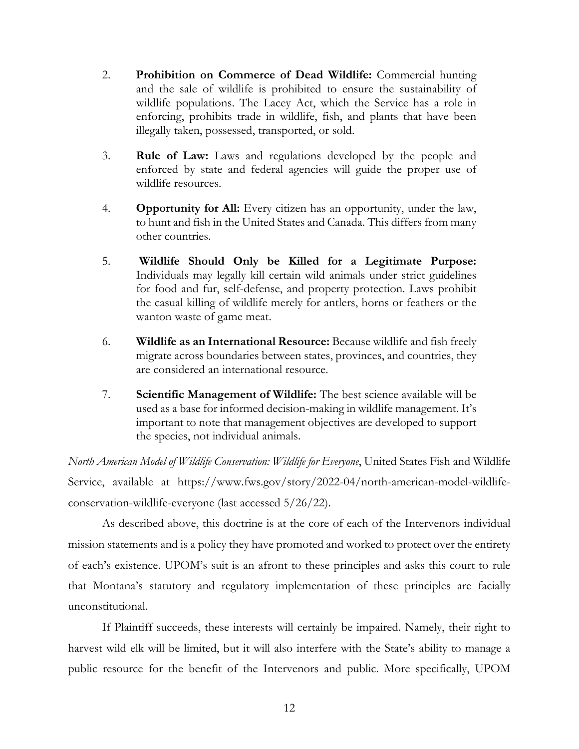- 2. **Prohibition on Commerce of Dead Wildlife:** Commercial hunting and the sale of wildlife is prohibited to ensure the sustainability of wildlife populations. The Lacey Act, which the Service has a role in enforcing, prohibits trade in wildlife, fish, and plants that have been illegally taken, possessed, transported, or sold.
- 3. **Rule of Law:** Laws and regulations developed by the people and enforced by state and federal agencies will guide the proper use of wildlife resources.
- 4. **Opportunity for All:** Every citizen has an opportunity, under the law, to hunt and fish in the United States and Canada. This differs from many other countries.
- 5. **Wildlife Should Only be Killed for a Legitimate Purpose:** Individuals may legally kill certain wild animals under strict guidelines for food and fur, self-defense, and property protection. Laws prohibit the casual killing of wildlife merely for antlers, horns or feathers or the wanton waste of game meat.
- 6. **Wildlife as an International Resource:** Because wildlife and fish freely migrate across boundaries between states, provinces, and countries, they are considered an international resource.
- 7. **Scientific Management of Wildlife:** The best science available will be used as a base for informed decision-making in wildlife management. It's important to note that management objectives are developed to support the species, not individual animals.

*North American Model of Wildlife Conservation: Wildlife for Everyone*, United States Fish and Wildlife Service, available at https://www.fws.gov/story/2022-04/north-american-model-wildlifeconservation-wildlife-everyone (last accessed 5/26/22).

As described above, this doctrine is at the core of each of the Intervenors individual mission statements and is a policy they have promoted and worked to protect over the entirety of each's existence. UPOM's suit is an afront to these principles and asks this court to rule that Montana's statutory and regulatory implementation of these principles are facially unconstitutional.

If Plaintiff succeeds, these interests will certainly be impaired. Namely, their right to harvest wild elk will be limited, but it will also interfere with the State's ability to manage a public resource for the benefit of the Intervenors and public. More specifically, UPOM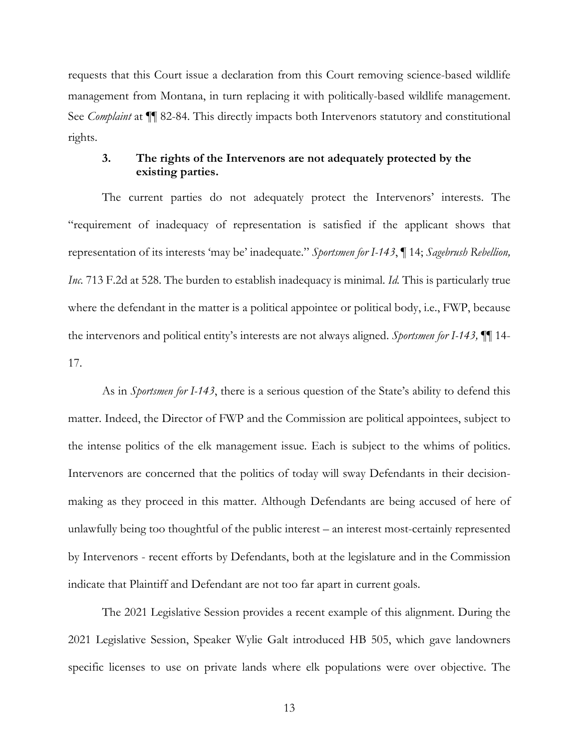requests that this Court issue a declaration from this Court removing science-based wildlife management from Montana, in turn replacing it with politically-based wildlife management. See *Complaint* at ¶¶ 82-84. This directly impacts both Intervenors statutory and constitutional rights.

## **3. The rights of the Intervenors are not adequately protected by the existing parties.**

The current parties do not adequately protect the Intervenors' interests. The "requirement of inadequacy of representation is satisfied if the applicant shows that representation of its interests 'may be' inadequate." *Sportsmen for I-143*, ¶ 14; *Sagebrush Rebellion, Inc.* 713 F.2d at 528. The burden to establish inadequacy is minimal. *Id.* This is particularly true where the defendant in the matter is a political appointee or political body, i.e., FWP, because the intervenors and political entity's interests are not always aligned. *Sportsmen for I-143,* ¶¶ 14- 17.

As in *Sportsmen for I-143*, there is a serious question of the State's ability to defend this matter. Indeed, the Director of FWP and the Commission are political appointees, subject to the intense politics of the elk management issue. Each is subject to the whims of politics. Intervenors are concerned that the politics of today will sway Defendants in their decisionmaking as they proceed in this matter. Although Defendants are being accused of here of unlawfully being too thoughtful of the public interest – an interest most-certainly represented by Intervenors - recent efforts by Defendants, both at the legislature and in the Commission indicate that Plaintiff and Defendant are not too far apart in current goals.

The 2021 Legislative Session provides a recent example of this alignment. During the 2021 Legislative Session, Speaker Wylie Galt introduced HB 505, which gave landowners specific licenses to use on private lands where elk populations were over objective. The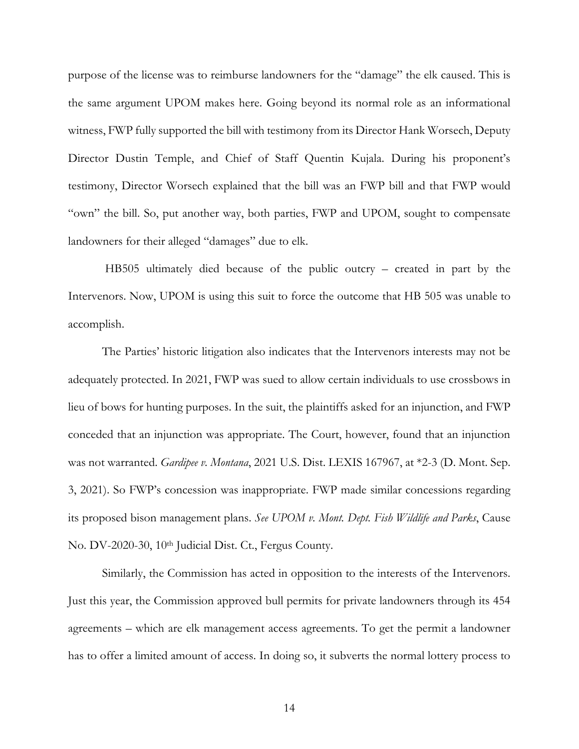purpose of the license was to reimburse landowners for the "damage" the elk caused. This is the same argument UPOM makes here. Going beyond its normal role as an informational witness, FWP fully supported the bill with testimony from its Director Hank Worsech, Deputy Director Dustin Temple, and Chief of Staff Quentin Kujala. During his proponent's testimony, Director Worsech explained that the bill was an FWP bill and that FWP would "own" the bill. So, put another way, both parties, FWP and UPOM, sought to compensate landowners for their alleged "damages" due to elk.

HB505 ultimately died because of the public outcry – created in part by the Intervenors. Now, UPOM is using this suit to force the outcome that HB 505 was unable to accomplish.

The Parties' historic litigation also indicates that the Intervenors interests may not be adequately protected. In 2021, FWP was sued to allow certain individuals to use crossbows in lieu of bows for hunting purposes. In the suit, the plaintiffs asked for an injunction, and FWP conceded that an injunction was appropriate. The Court, however, found that an injunction was not warranted. *Gardipee v. Montana*, 2021 U.S. Dist. LEXIS 167967, at \*2-3 (D. Mont. Sep. 3, 2021). So FWP's concession was inappropriate. FWP made similar concessions regarding its proposed bison management plans. *See UPOM v. Mont. Dept. Fish Wildlife and Parks*, Cause No. DV-2020-30, 10th Judicial Dist. Ct., Fergus County.

Similarly, the Commission has acted in opposition to the interests of the Intervenors. Just this year, the Commission approved bull permits for private landowners through its 454 agreements – which are elk management access agreements. To get the permit a landowner has to offer a limited amount of access. In doing so, it subverts the normal lottery process to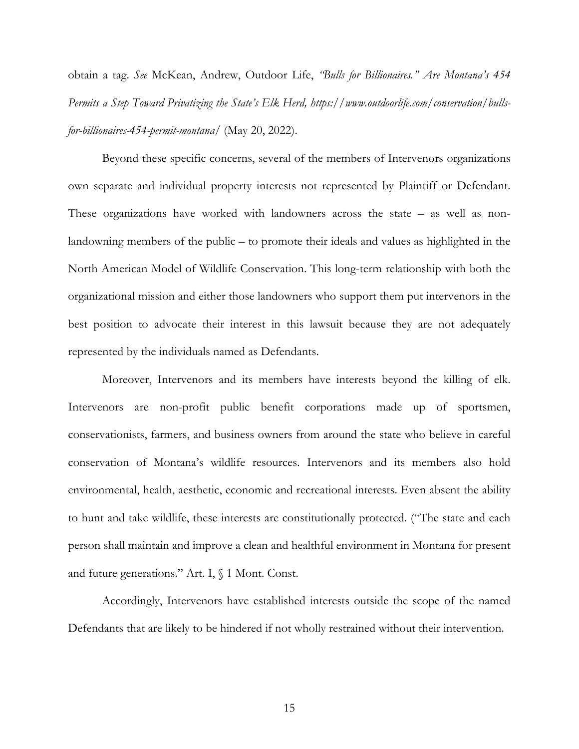obtain a tag. *See* McKean, Andrew, Outdoor Life, *"Bulls for Billionaires." Are Montana's 454 Permits a Step Toward Privatizing the State's Elk Herd, https://www.outdoorlife.com/conservation/bullsfor-billionaires-454-permit-montana/* (May 20, 2022).

Beyond these specific concerns, several of the members of Intervenors organizations own separate and individual property interests not represented by Plaintiff or Defendant. These organizations have worked with landowners across the state – as well as nonlandowning members of the public – to promote their ideals and values as highlighted in the North American Model of Wildlife Conservation. This long-term relationship with both the organizational mission and either those landowners who support them put intervenors in the best position to advocate their interest in this lawsuit because they are not adequately represented by the individuals named as Defendants.

Moreover, Intervenors and its members have interests beyond the killing of elk. Intervenors are non-profit public benefit corporations made up of sportsmen, conservationists, farmers, and business owners from around the state who believe in careful conservation of Montana's wildlife resources. Intervenors and its members also hold environmental, health, aesthetic, economic and recreational interests. Even absent the ability to hunt and take wildlife, these interests are constitutionally protected. ("The state and each person shall maintain and improve a clean and healthful environment in Montana for present and future generations." Art. I, § 1 Mont. Const.

Accordingly, Intervenors have established interests outside the scope of the named Defendants that are likely to be hindered if not wholly restrained without their intervention.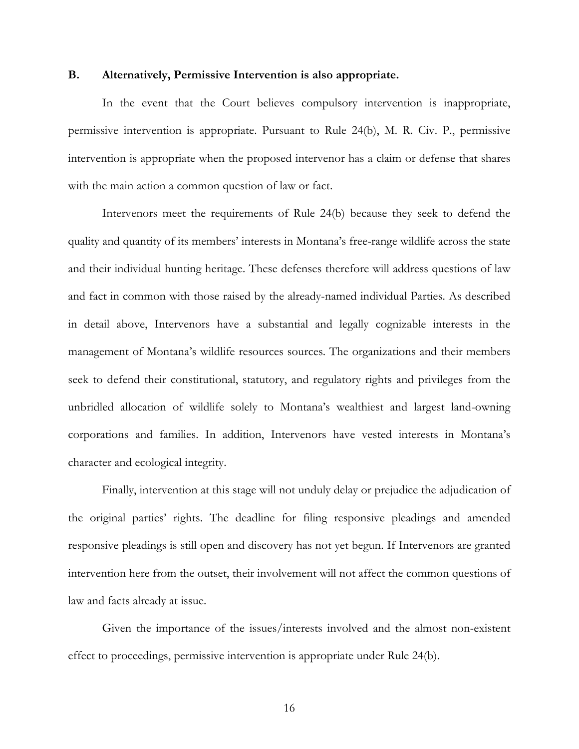### **B. Alternatively, Permissive Intervention is also appropriate.**

In the event that the Court believes compulsory intervention is inappropriate, permissive intervention is appropriate. Pursuant to Rule 24(b), M. R. Civ. P., permissive intervention is appropriate when the proposed intervenor has a claim or defense that shares with the main action a common question of law or fact.

Intervenors meet the requirements of Rule 24(b) because they seek to defend the quality and quantity of its members' interests in Montana's free-range wildlife across the state and their individual hunting heritage. These defenses therefore will address questions of law and fact in common with those raised by the already-named individual Parties. As described in detail above, Intervenors have a substantial and legally cognizable interests in the management of Montana's wildlife resources sources. The organizations and their members seek to defend their constitutional, statutory, and regulatory rights and privileges from the unbridled allocation of wildlife solely to Montana's wealthiest and largest land-owning corporations and families. In addition, Intervenors have vested interests in Montana's character and ecological integrity.

Finally, intervention at this stage will not unduly delay or prejudice the adjudication of the original parties' rights. The deadline for filing responsive pleadings and amended responsive pleadings is still open and discovery has not yet begun. If Intervenors are granted intervention here from the outset, their involvement will not affect the common questions of law and facts already at issue.

Given the importance of the issues/interests involved and the almost non-existent effect to proceedings, permissive intervention is appropriate under Rule 24(b).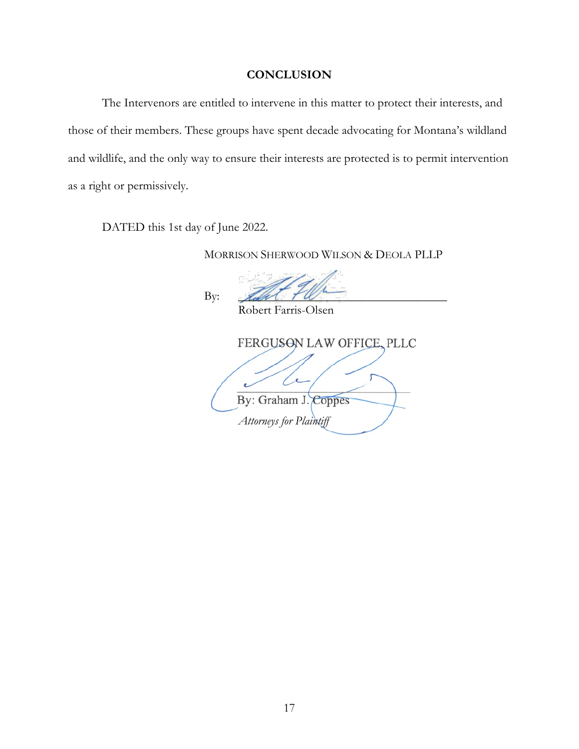## **CONCLUSION**

The Intervenors are entitled to intervene in this matter to protect their interests, and those of their members. These groups have spent decade advocating for Montana's wildland and wildlife, and the only way to ensure their interests are protected is to permit intervention as a right or permissively.

DATED this 1st day of June 2022.

MORRISON SHERWOOD WILSON & DEOLA PLLP

By:  $\mathcal{L} \mathscr{L} \mathscr{L} \mathscr{L} \mathscr{L} \mathscr{L} \mathscr{L}$ 

Robert Farris-Olsen FERGUSON LAW OFFICE, PLLC x By: Graham J. Coppes *Attorneys for Plaintiff*